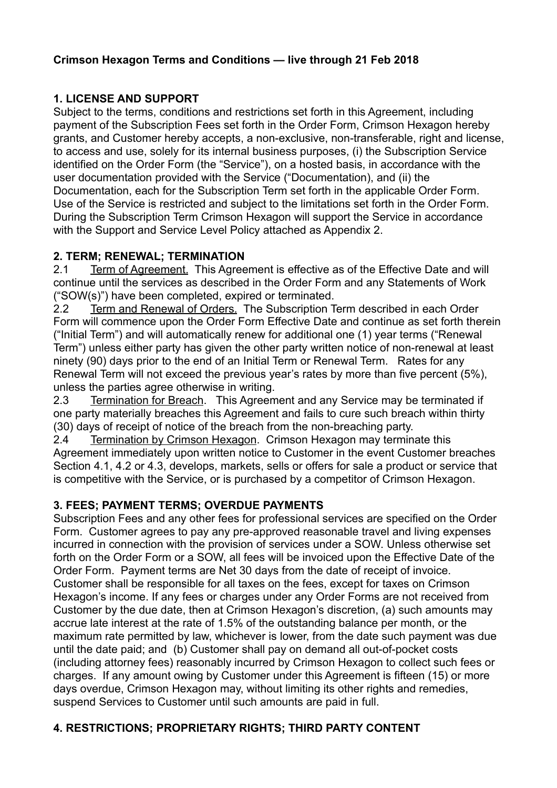### **Crimson Hexagon Terms and Conditions — live through 21 Feb 2018**

## **1. LICENSE AND SUPPORT**

Subject to the terms, conditions and restrictions set forth in this Agreement, including payment of the Subscription Fees set forth in the Order Form, Crimson Hexagon hereby grants, and Customer hereby accepts, a non-exclusive, non-transferable, right and license, to access and use, solely for its internal business purposes, (i) the Subscription Service identified on the Order Form (the "Service"), on a hosted basis, in accordance with the user documentation provided with the Service ("Documentation), and (ii) the Documentation, each for the Subscription Term set forth in the applicable Order Form. Use of the Service is restricted and subject to the limitations set forth in the Order Form. During the Subscription Term Crimson Hexagon will support the Service in accordance with the Support and Service Level Policy attached as Appendix 2.

### **2. TERM; RENEWAL; TERMINATION**

2.1 Term of Agreement. This Agreement is effective as of the Effective Date and will continue until the services as described in the Order Form and any Statements of Work ("SOW(s)") have been completed, expired or terminated.

2.2 Term and Renewal of Orders. The Subscription Term described in each Order Form will commence upon the Order Form Effective Date and continue as set forth therein ("Initial Term") and will automatically renew for additional one (1) year terms ("Renewal Term") unless either party has given the other party written notice of non-renewal at least ninety (90) days prior to the end of an Initial Term or Renewal Term. Rates for any Renewal Term will not exceed the previous year's rates by more than five percent (5%), unless the parties agree otherwise in writing.

2.3 Termination for Breach. This Agreement and any Service may be terminated if one party materially breaches this Agreement and fails to cure such breach within thirty (30) days of receipt of notice of the breach from the non-breaching party.

2.4 Termination by Crimson Hexagon. Crimson Hexagon may terminate this Agreement immediately upon written notice to Customer in the event Customer breaches Section 4.1, 4.2 or 4.3, develops, markets, sells or offers for sale a product or service that is competitive with the Service, or is purchased by a competitor of Crimson Hexagon.

### **3. FEES; PAYMENT TERMS; OVERDUE PAYMENTS**

Subscription Fees and any other fees for professional services are specified on the Order Form. Customer agrees to pay any pre-approved reasonable travel and living expenses incurred in connection with the provision of services under a SOW. Unless otherwise set forth on the Order Form or a SOW, all fees will be invoiced upon the Effective Date of the Order Form. Payment terms are Net 30 days from the date of receipt of invoice. Customer shall be responsible for all taxes on the fees, except for taxes on Crimson Hexagon's income. If any fees or charges under any Order Forms are not received from Customer by the due date, then at Crimson Hexagon's discretion, (a) such amounts may accrue late interest at the rate of 1.5% of the outstanding balance per month, or the maximum rate permitted by law, whichever is lower, from the date such payment was due until the date paid; and (b) Customer shall pay on demand all out-of-pocket costs (including attorney fees) reasonably incurred by Crimson Hexagon to collect such fees or charges. If any amount owing by Customer under this Agreement is fifteen (15) or more days overdue, Crimson Hexagon may, without limiting its other rights and remedies, suspend Services to Customer until such amounts are paid in full.

## **4. RESTRICTIONS; PROPRIETARY RIGHTS; THIRD PARTY CONTENT**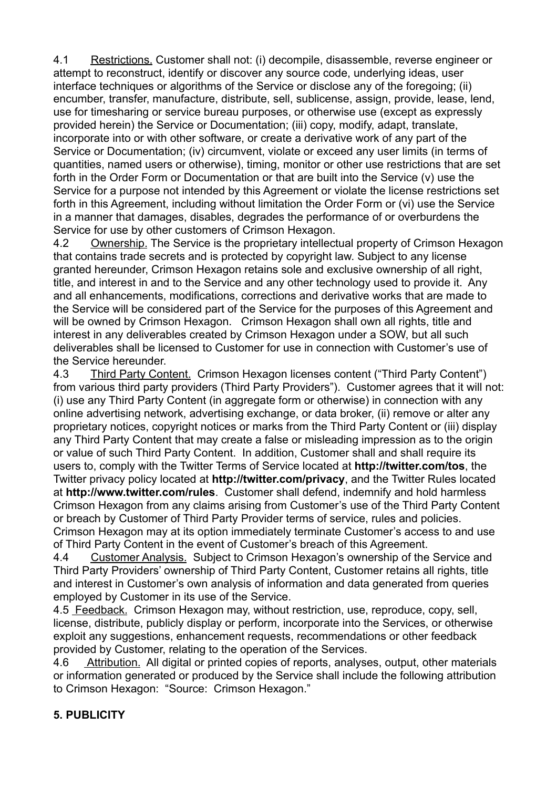4.1 Restrictions. Customer shall not: (i) decompile, disassemble, reverse engineer or attempt to reconstruct, identify or discover any source code, underlying ideas, user interface techniques or algorithms of the Service or disclose any of the foregoing; (ii) encumber, transfer, manufacture, distribute, sell, sublicense, assign, provide, lease, lend, use for timesharing or service bureau purposes, or otherwise use (except as expressly provided herein) the Service or Documentation; (iii) copy, modify, adapt, translate, incorporate into or with other software, or create a derivative work of any part of the Service or Documentation; (iv) circumvent, violate or exceed any user limits (in terms of quantities, named users or otherwise), timing, monitor or other use restrictions that are set forth in the Order Form or Documentation or that are built into the Service (v) use the Service for a purpose not intended by this Agreement or violate the license restrictions set forth in this Agreement, including without limitation the Order Form or (vi) use the Service in a manner that damages, disables, degrades the performance of or overburdens the Service for use by other customers of Crimson Hexagon.

4.2 Ownership. The Service is the proprietary intellectual property of Crimson Hexagon that contains trade secrets and is protected by copyright law. Subject to any license granted hereunder, Crimson Hexagon retains sole and exclusive ownership of all right, title, and interest in and to the Service and any other technology used to provide it. Any and all enhancements, modifications, corrections and derivative works that are made to the Service will be considered part of the Service for the purposes of this Agreement and will be owned by Crimson Hexagon. Crimson Hexagon shall own all rights, title and interest in any deliverables created by Crimson Hexagon under a SOW, but all such deliverables shall be licensed to Customer for use in connection with Customer's use of the Service hereunder.

4.3 Third Party Content. Crimson Hexagon licenses content ("Third Party Content") from various third party providers (Third Party Providers"). Customer agrees that it will not: (i) use any Third Party Content (in aggregate form or otherwise) in connection with any online advertising network, advertising exchange, or data broker, (ii) remove or alter any proprietary notices, copyright notices or marks from the Third Party Content or (iii) display any Third Party Content that may create a false or misleading impression as to the origin or value of such Third Party Content. In addition, Customer shall and shall require its users to, comply with the Twitter Terms of Service located at **<http://twitter.com/tos>**, the Twitter privacy policy located at **<http://twitter.com/privacy>**, and the Twitter Rules located at **<http://www.twitter.com/rules>**. Customer shall defend, indemnify and hold harmless Crimson Hexagon from any claims arising from Customer's use of the Third Party Content or breach by Customer of Third Party Provider terms of service, rules and policies. Crimson Hexagon may at its option immediately terminate Customer's access to and use of Third Party Content in the event of Customer's breach of this Agreement.

4.4 Customer Analysis. Subject to Crimson Hexagon's ownership of the Service and Third Party Providers' ownership of Third Party Content, Customer retains all rights, title and interest in Customer's own analysis of information and data generated from queries employed by Customer in its use of the Service.

4.5 Feedback. Crimson Hexagon may, without restriction, use, reproduce, copy, sell, license, distribute, publicly display or perform, incorporate into the Services, or otherwise exploit any suggestions, enhancement requests, recommendations or other feedback provided by Customer, relating to the operation of the Services.

4.6 Attribution. All digital or printed copies of reports, analyses, output, other materials or information generated or produced by the Service shall include the following attribution to Crimson Hexagon: "Source: Crimson Hexagon."

## **5. PUBLICITY**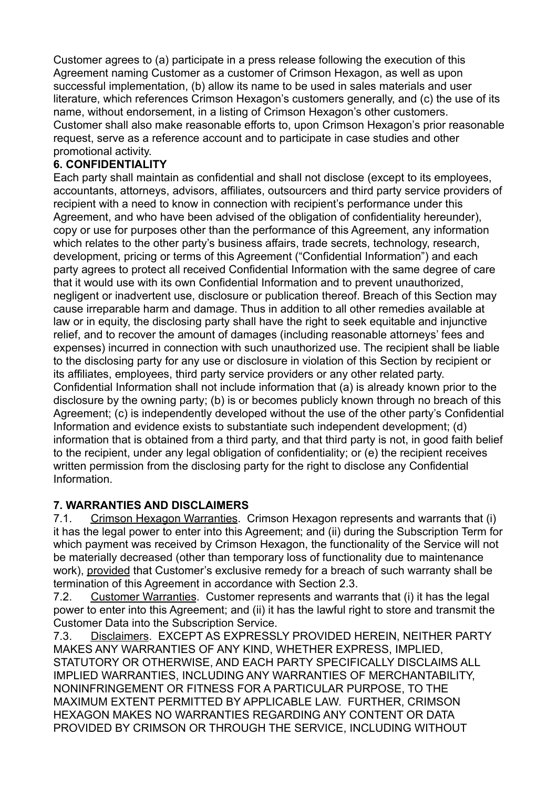Customer agrees to (a) participate in a press release following the execution of this Agreement naming Customer as a customer of Crimson Hexagon, as well as upon successful implementation, (b) allow its name to be used in sales materials and user literature, which references Crimson Hexagon's customers generally, and (c) the use of its name, without endorsement, in a listing of Crimson Hexagon's other customers. Customer shall also make reasonable efforts to, upon Crimson Hexagon's prior reasonable request, serve as a reference account and to participate in case studies and other promotional activity.

## **6. CONFIDENTIALITY**

Each party shall maintain as confidential and shall not disclose (except to its employees, accountants, attorneys, advisors, affiliates, outsourcers and third party service providers of recipient with a need to know in connection with recipient's performance under this Agreement, and who have been advised of the obligation of confidentiality hereunder), copy or use for purposes other than the performance of this Agreement, any information which relates to the other party's business affairs, trade secrets, technology, research, development, pricing or terms of this Agreement ("Confidential Information") and each party agrees to protect all received Confidential Information with the same degree of care that it would use with its own Confidential Information and to prevent unauthorized, negligent or inadvertent use, disclosure or publication thereof. Breach of this Section may cause irreparable harm and damage. Thus in addition to all other remedies available at law or in equity, the disclosing party shall have the right to seek equitable and injunctive relief, and to recover the amount of damages (including reasonable attorneys' fees and expenses) incurred in connection with such unauthorized use. The recipient shall be liable to the disclosing party for any use or disclosure in violation of this Section by recipient or its affiliates, employees, third party service providers or any other related party. Confidential Information shall not include information that (a) is already known prior to the disclosure by the owning party; (b) is or becomes publicly known through no breach of this Agreement; (c) is independently developed without the use of the other party's Confidential Information and evidence exists to substantiate such independent development; (d) information that is obtained from a third party, and that third party is not, in good faith belief to the recipient, under any legal obligation of confidentiality; or (e) the recipient receives written permission from the disclosing party for the right to disclose any Confidential Information.

## **7. WARRANTIES AND DISCLAIMERS**

7.1. Crimson Hexagon Warranties. Crimson Hexagon represents and warrants that (i) it has the legal power to enter into this Agreement; and (ii) during the Subscription Term for which payment was received by Crimson Hexagon, the functionality of the Service will not be materially decreased (other than temporary loss of functionality due to maintenance work), provided that Customer's exclusive remedy for a breach of such warranty shall be termination of this Agreement in accordance with Section 2.3.

7.2. Customer Warranties. Customer represents and warrants that (i) it has the legal power to enter into this Agreement; and (ii) it has the lawful right to store and transmit the Customer Data into the Subscription Service.

7.3. Disclaimers. EXCEPT AS EXPRESSLY PROVIDED HEREIN, NEITHER PARTY MAKES ANY WARRANTIES OF ANY KIND, WHETHER EXPRESS, IMPLIED, STATUTORY OR OTHERWISE, AND EACH PARTY SPECIFICALLY DISCLAIMS ALL IMPLIED WARRANTIES, INCLUDING ANY WARRANTIES OF MERCHANTABILITY, NONINFRINGEMENT OR FITNESS FOR A PARTICULAR PURPOSE, TO THE MAXIMUM EXTENT PERMITTED BY APPLICABLE LAW. FURTHER, CRIMSON HEXAGON MAKES NO WARRANTIES REGARDING ANY CONTENT OR DATA PROVIDED BY CRIMSON OR THROUGH THE SERVICE, INCLUDING WITHOUT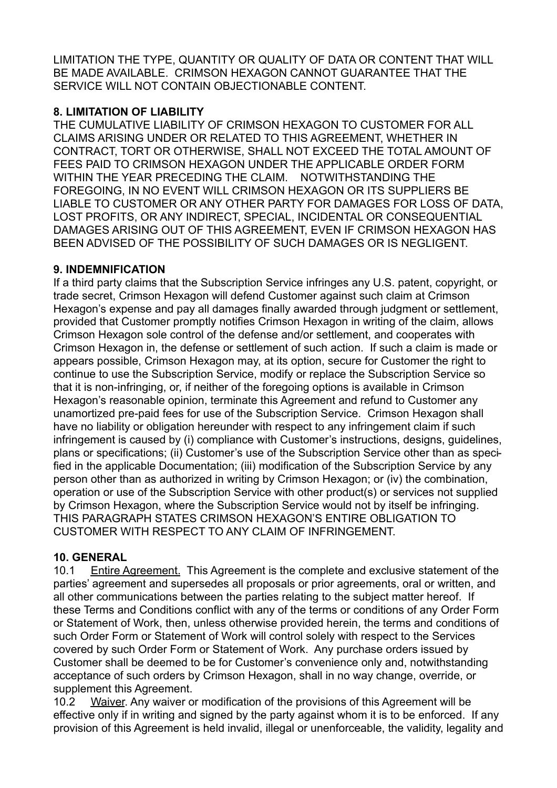LIMITATION THE TYPE, QUANTITY OR QUALITY OF DATA OR CONTENT THAT WILL BE MADE AVAILABLE. CRIMSON HEXAGON CANNOT GUARANTEE THAT THE SERVICE WILL NOT CONTAIN OBJECTIONABLE CONTENT.

## **8. LIMITATION OF LIABILITY**

THE CUMULATIVE LIABILITY OF CRIMSON HEXAGON TO CUSTOMER FOR ALL CLAIMS ARISING UNDER OR RELATED TO THIS AGREEMENT, WHETHER IN CONTRACT, TORT OR OTHERWISE, SHALL NOT EXCEED THE TOTAL AMOUNT OF FEES PAID TO CRIMSON HEXAGON UNDER THE APPLICABLE ORDER FORM WITHIN THE YEAR PRECEDING THE CLAIM. NOTWITHSTANDING THE FOREGOING, IN NO EVENT WILL CRIMSON HEXAGON OR ITS SUPPLIERS BE LIABLE TO CUSTOMER OR ANY OTHER PARTY FOR DAMAGES FOR LOSS OF DATA, LOST PROFITS, OR ANY INDIRECT, SPECIAL, INCIDENTAL OR CONSEQUENTIAL DAMAGES ARISING OUT OF THIS AGREEMENT, EVEN IF CRIMSON HEXAGON HAS BEEN ADVISED OF THE POSSIBILITY OF SUCH DAMAGES OR IS NEGLIGENT.

# **9. INDEMNIFICATION**

If a third party claims that the Subscription Service infringes any U.S. patent, copyright, or trade secret, Crimson Hexagon will defend Customer against such claim at Crimson Hexagon's expense and pay all damages finally awarded through judgment or settlement, provided that Customer promptly notifies Crimson Hexagon in writing of the claim, allows Crimson Hexagon sole control of the defense and/or settlement, and cooperates with Crimson Hexagon in, the defense or settlement of such action. If such a claim is made or appears possible, Crimson Hexagon may, at its option, secure for Customer the right to continue to use the Subscription Service, modify or replace the Subscription Service so that it is non-infringing, or, if neither of the foregoing options is available in Crimson Hexagon's reasonable opinion, terminate this Agreement and refund to Customer any unamortized pre-paid fees for use of the Subscription Service. Crimson Hexagon shall have no liability or obligation hereunder with respect to any infringement claim if such infringement is caused by (i) compliance with Customer's instructions, designs, guidelines, plans or specifications; (ii) Customer's use of the Subscription Service other than as specified in the applicable Documentation; (iii) modification of the Subscription Service by any person other than as authorized in writing by Crimson Hexagon; or (iv) the combination, operation or use of the Subscription Service with other product(s) or services not supplied by Crimson Hexagon, where the Subscription Service would not by itself be infringing. THIS PARAGRAPH STATES CRIMSON HEXAGON'S ENTIRE OBLIGATION TO CUSTOMER WITH RESPECT TO ANY CLAIM OF INFRINGEMENT.

## **10. GENERAL**

10.1 Entire Agreement. This Agreement is the complete and exclusive statement of the parties' agreement and supersedes all proposals or prior agreements, oral or written, and all other communications between the parties relating to the subject matter hereof. If these Terms and Conditions conflict with any of the terms or conditions of any Order Form or Statement of Work, then, unless otherwise provided herein, the terms and conditions of such Order Form or Statement of Work will control solely with respect to the Services covered by such Order Form or Statement of Work. Any purchase orders issued by Customer shall be deemed to be for Customer's convenience only and, notwithstanding acceptance of such orders by Crimson Hexagon, shall in no way change, override, or supplement this Agreement.

10.2 Waiver. Any waiver or modification of the provisions of this Agreement will be effective only if in writing and signed by the party against whom it is to be enforced. If any provision of this Agreement is held invalid, illegal or unenforceable, the validity, legality and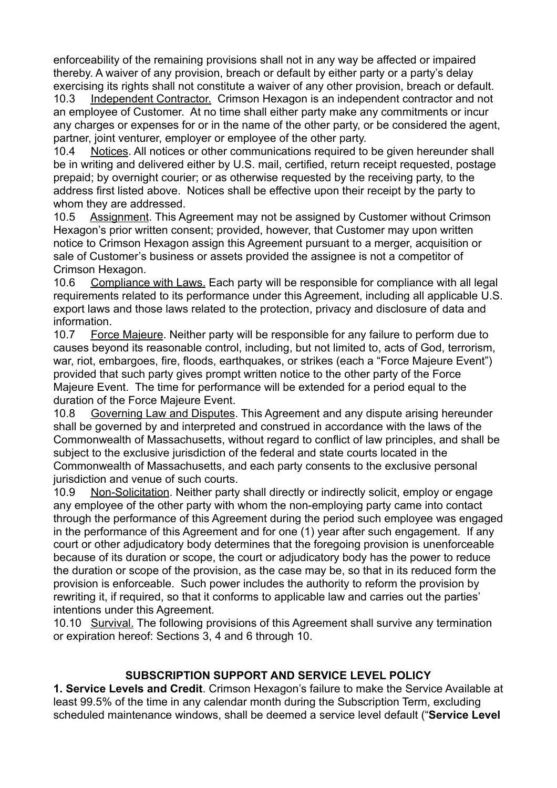enforceability of the remaining provisions shall not in any way be affected or impaired thereby. A waiver of any provision, breach or default by either party or a party's delay exercising its rights shall not constitute a waiver of any other provision, breach or default.

10.3 Independent Contractor. Crimson Hexagon is an independent contractor and not an employee of Customer. At no time shall either party make any commitments or incur any charges or expenses for or in the name of the other party, or be considered the agent, partner, joint venturer, employer or employee of the other party.

10.4 Notices. All notices or other communications required to be given hereunder shall be in writing and delivered either by U.S. mail, certified, return receipt requested, postage prepaid; by overnight courier; or as otherwise requested by the receiving party, to the address first listed above. Notices shall be effective upon their receipt by the party to whom they are addressed.

10.5 Assignment. This Agreement may not be assigned by Customer without Crimson Hexagon's prior written consent; provided, however, that Customer may upon written notice to Crimson Hexagon assign this Agreement pursuant to a merger, acquisition or sale of Customer's business or assets provided the assignee is not a competitor of Crimson Hexagon.

10.6 Compliance with Laws. Each party will be responsible for compliance with all legal requirements related to its performance under this Agreement, including all applicable U.S. export laws and those laws related to the protection, privacy and disclosure of data and information.

10.7 Force Majeure. Neither party will be responsible for any failure to perform due to causes beyond its reasonable control, including, but not limited to, acts of God, terrorism, war, riot, embargoes, fire, floods, earthquakes, or strikes (each a "Force Majeure Event") provided that such party gives prompt written notice to the other party of the Force Majeure Event. The time for performance will be extended for a period equal to the duration of the Force Majeure Event.

10.8 Governing Law and Disputes. This Agreement and any dispute arising hereunder shall be governed by and interpreted and construed in accordance with the laws of the Commonwealth of Massachusetts, without regard to conflict of law principles, and shall be subject to the exclusive jurisdiction of the federal and state courts located in the Commonwealth of Massachusetts, and each party consents to the exclusive personal jurisdiction and venue of such courts.

10.9 Non-Solicitation. Neither party shall directly or indirectly solicit, employ or engage any employee of the other party with whom the non-employing party came into contact through the performance of this Agreement during the period such employee was engaged in the performance of this Agreement and for one (1) year after such engagement. If any court or other adjudicatory body determines that the foregoing provision is unenforceable because of its duration or scope, the court or adjudicatory body has the power to reduce the duration or scope of the provision, as the case may be, so that in its reduced form the provision is enforceable. Such power includes the authority to reform the provision by rewriting it, if required, so that it conforms to applicable law and carries out the parties' intentions under this Agreement.

10.10 Survival. The following provisions of this Agreement shall survive any termination or expiration hereof: Sections 3, 4 and 6 through 10.

## **SUBSCRIPTION SUPPORT AND SERVICE LEVEL POLICY**

**1. Service Levels and Credit**. Crimson Hexagon's failure to make the Service Available at least 99.5% of the time in any calendar month during the Subscription Term, excluding scheduled maintenance windows, shall be deemed a service level default ("**Service Level**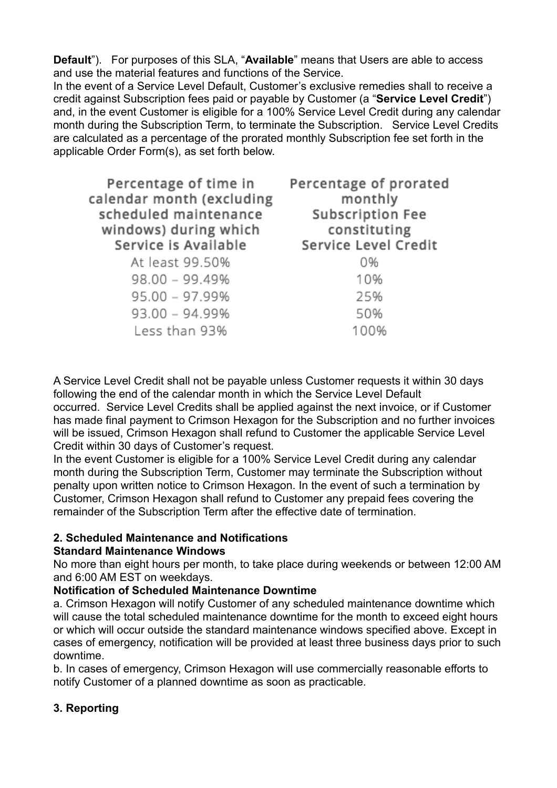**Default**"). For purposes of this SLA, "**Available**" means that Users are able to access and use the material features and functions of the Service.

In the event of a Service Level Default, Customer's exclusive remedies shall to receive a credit against Subscription fees paid or payable by Customer (a "**Service Level Credit**") and, in the event Customer is eligible for a 100% Service Level Credit during any calendar month during the Subscription Term, to terminate the Subscription. Service Level Credits are calculated as a percentage of the prorated monthly Subscription fee set forth in the applicable Order Form(s), as set forth below.

| Percentage of time in<br>calendar month (excluding<br>scheduled maintenance<br>windows) during which<br>Service is Available | Percentage of prorated<br>monthly<br><b>Subscription Fee</b><br>constituting<br>Service Level Credit |
|------------------------------------------------------------------------------------------------------------------------------|------------------------------------------------------------------------------------------------------|
| At least 99.50%                                                                                                              | 0%                                                                                                   |
| $98.00 - 99.49%$                                                                                                             | 10%                                                                                                  |
| $95.00 - 97.99%$                                                                                                             | 25%                                                                                                  |
| $93.00 - 94.99%$                                                                                                             | 50%                                                                                                  |
| Less than 93%                                                                                                                | 100%                                                                                                 |

A Service Level Credit shall not be payable unless Customer requests it within 30 days following the end of the calendar month in which the Service Level Default occurred. Service Level Credits shall be applied against the next invoice, or if Customer has made final payment to Crimson Hexagon for the Subscription and no further invoices will be issued, Crimson Hexagon shall refund to Customer the applicable Service Level Credit within 30 days of Customer's request.

In the event Customer is eligible for a 100% Service Level Credit during any calendar month during the Subscription Term, Customer may terminate the Subscription without penalty upon written notice to Crimson Hexagon. In the event of such a termination by Customer, Crimson Hexagon shall refund to Customer any prepaid fees covering the remainder of the Subscription Term after the effective date of termination.

### **2. Scheduled Maintenance and Notifications**

### **Standard Maintenance Windows**

No more than eight hours per month, to take place during weekends or between 12:00 AM and 6:00 AM EST on weekdays.

### **Notification of Scheduled Maintenance Downtime**

a. Crimson Hexagon will notify Customer of any scheduled maintenance downtime which will cause the total scheduled maintenance downtime for the month to exceed eight hours or which will occur outside the standard maintenance windows specified above. Except in cases of emergency, notification will be provided at least three business days prior to such downtime.

b. In cases of emergency, Crimson Hexagon will use commercially reasonable efforts to notify Customer of a planned downtime as soon as practicable.

## **3. Reporting**